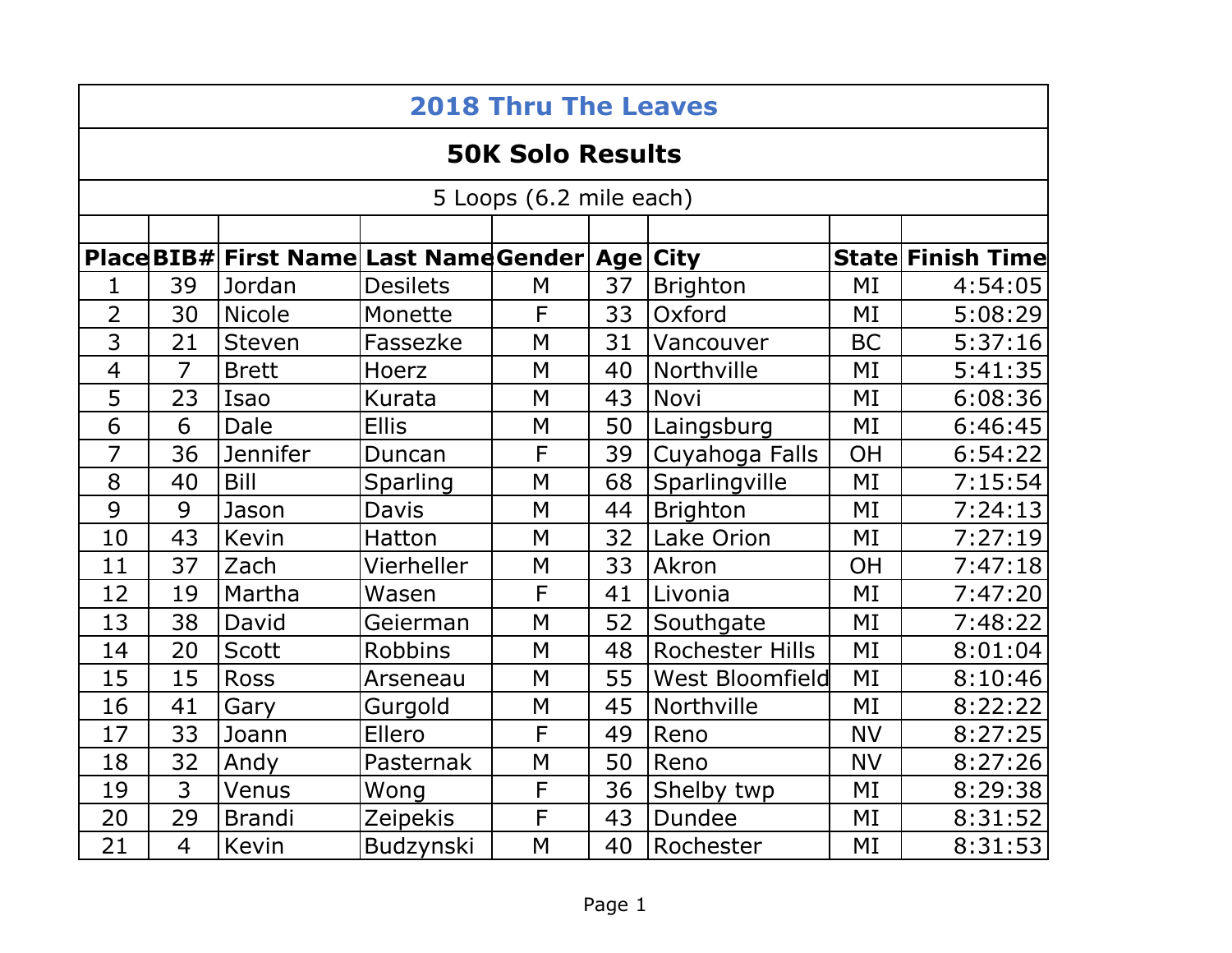| <b>2018 Thru The Leaves</b> |                |                                                     |                 |   |    |                        |           |                          |  |  |  |  |
|-----------------------------|----------------|-----------------------------------------------------|-----------------|---|----|------------------------|-----------|--------------------------|--|--|--|--|
| <b>50K Solo Results</b>     |                |                                                     |                 |   |    |                        |           |                          |  |  |  |  |
| 5 Loops (6.2 mile each)     |                |                                                     |                 |   |    |                        |           |                          |  |  |  |  |
|                             |                |                                                     |                 |   |    |                        |           |                          |  |  |  |  |
|                             |                | Place BIB# First Name Last Name Gender   Age   City |                 |   |    |                        |           | <b>State Finish Time</b> |  |  |  |  |
| 1                           | 39             | Jordan                                              | <b>Desilets</b> | M | 37 | <b>Brighton</b>        | MI        | 4:54:05                  |  |  |  |  |
| $\overline{2}$              | 30             | <b>Nicole</b>                                       | Monette         | F | 33 | Oxford                 | MI        | 5:08:29                  |  |  |  |  |
| 3                           | 21             | Steven                                              | Fassezke        | M | 31 | Vancouver              | <b>BC</b> | 5:37:16                  |  |  |  |  |
| $\overline{4}$              | $\overline{7}$ | <b>Brett</b>                                        | Hoerz           | M | 40 | Northville             | MI        | 5:41:35                  |  |  |  |  |
| 5                           | 23             | Isao                                                | Kurata          | M | 43 | Novi                   | MI        | 6:08:36                  |  |  |  |  |
| 6                           | 6              | Dale                                                | <b>Ellis</b>    | M | 50 | Laingsburg             | MI        | 6:46:45                  |  |  |  |  |
| $\overline{7}$              | 36             | <b>Jennifer</b>                                     | Duncan          | F | 39 | Cuyahoga Falls         | OH        | 6:54:22                  |  |  |  |  |
| 8                           | 40             | Bill                                                | Sparling        | M | 68 | Sparlingville          | MI        | 7:15:54                  |  |  |  |  |
| 9                           | 9              | Jason                                               | <b>Davis</b>    | M | 44 | <b>Brighton</b>        | MI        | 7:24:13                  |  |  |  |  |
| 10                          | 43             | Kevin                                               | Hatton          | M | 32 | Lake Orion             | MI        | 7:27:19                  |  |  |  |  |
| 11                          | 37             | Zach                                                | Vierheller      | M | 33 | Akron                  | <b>OH</b> | 7:47:18                  |  |  |  |  |
| 12                          | 19             | Martha                                              | Wasen           | F | 41 | Livonia                | MI        | 7:47:20                  |  |  |  |  |
| 13                          | 38             | David                                               | Geierman        | M | 52 | Southgate              | MI        | 7:48:22                  |  |  |  |  |
| 14                          | 20             | <b>Scott</b>                                        | <b>Robbins</b>  | M | 48 | Rochester Hills        | MI        | 8:01:04                  |  |  |  |  |
| 15                          | 15             | <b>Ross</b>                                         | Arseneau        | M | 55 | <b>West Bloomfield</b> | MI        | 8:10:46                  |  |  |  |  |
| 16                          | 41             | Gary                                                | Gurgold         | M | 45 | Northville             | MI        | 8:22:22                  |  |  |  |  |
| 17                          | 33             | Joann                                               | Ellero          | F | 49 | Reno                   | <b>NV</b> | 8:27:25                  |  |  |  |  |
| 18                          | 32             | Andy                                                | Pasternak       | M | 50 | Reno                   | <b>NV</b> | 8:27:26                  |  |  |  |  |
| 19                          | 3              | Venus                                               | Wong            | F | 36 | Shelby twp             | MI        | 8:29:38                  |  |  |  |  |
| 20                          | 29             | <b>Brandi</b>                                       | Zeipekis        | F | 43 | <b>Dundee</b>          | MI        | 8:31:52                  |  |  |  |  |
| 21                          | $\overline{4}$ | Kevin                                               | Budzynski       | M | 40 | Rochester              | MI        | 8:31:53                  |  |  |  |  |